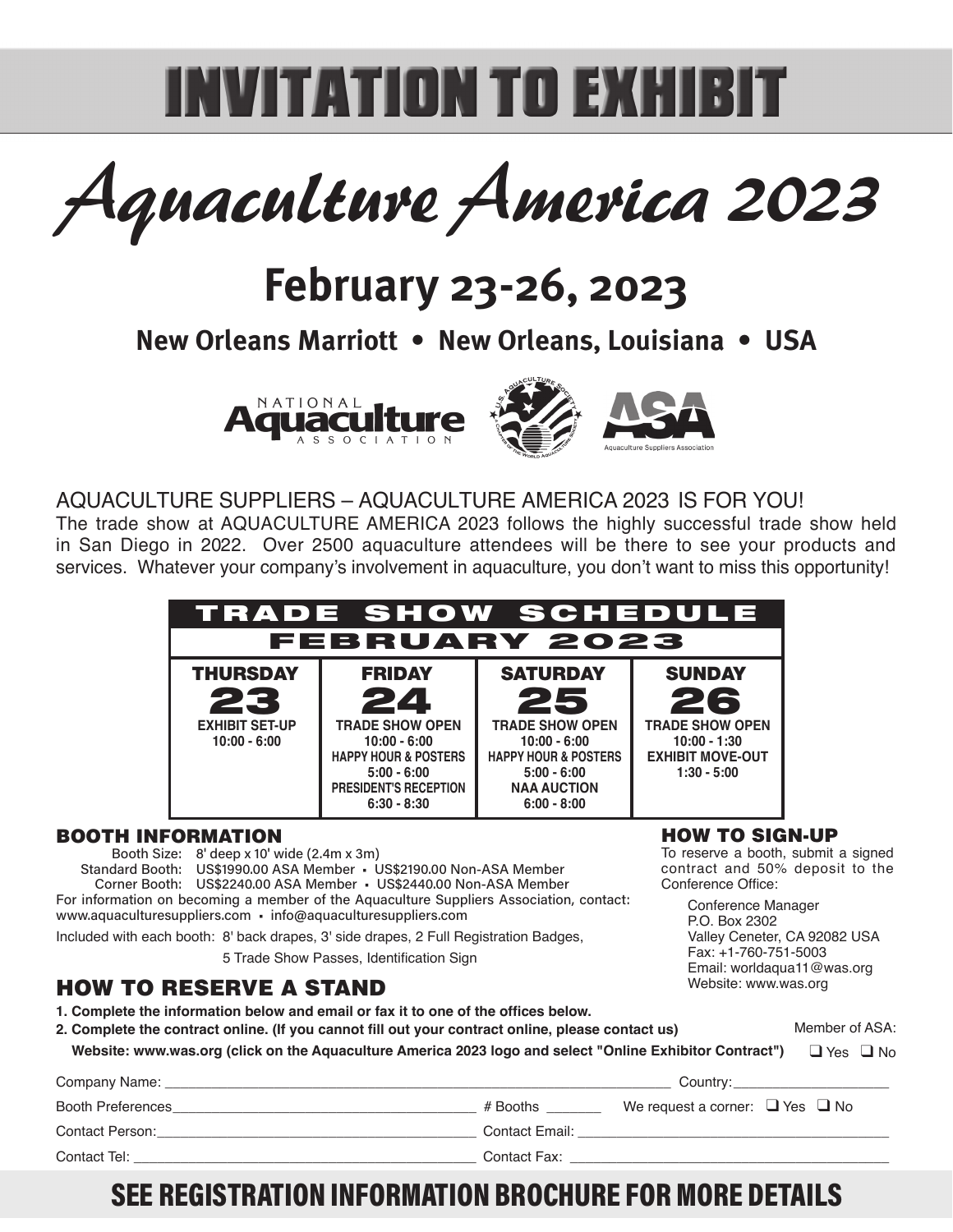# **INVITATION TO EXHIBIT**

Aquaculture America 2023

# **February 23-26, 2023**

**New Orleans Marriott • New Orleans, Louisiana • USA**





### AQUACULTURE SUPPLIERS – AQUACULTURE AMERICA 2023 IS FOR YOU!

The trade show at AQUACULTURE AMERICA 2023 follows the highly successful trade show held in San Diego in 2022. Over 2500 aquaculture attendees will be there to see your products and services. Whatever your company's involvement in aquaculture, you don't want to miss this opportunity!



#### BOOTH INFORMATION

Booth Size: 8' deep x 10' wide (2.4m x 3m) Standard Booth: US\$1990.00 ASA Member · US\$2190.00 Non-ASA Member Corner Booth: US\$2240.00 ASA Member · US\$2440.00 Non-ASA Member For information on becoming a member of the Aquaculture Suppliers Association, contact: www.aquaculturesuppliers.com · info@aquaculturesuppliers.com Included with each booth: 8' back drapes, 3' side drapes, 2 Full Registration Badges,

5 Trade Show Passes, Identification Sign

#### HOW TO RESERVE A STAND

1. Complete the information below and email or fax it to one of the offices below.

#### **2. Complete the contract online. (If you cannot fill out your contract online, please contact us) 2. Website: www.was.org (click on the Aquaculture America 2023 logo and select "Online Exhibitor Contract")** Member of ASA: ❑ Yes ❑ No

| Company Name:            |                | Country:                                  |
|--------------------------|----------------|-------------------------------------------|
| <b>Booth Preferences</b> | # Booths       | We request a corner: $\Box$ Yes $\Box$ No |
| Contact Person:          | Contact Email: |                                           |
| Contact Tel:             | Contact Fax:   |                                           |

## **SEE REGISTRATION INFORMATION BROCHURE FOR MORE DETAILS**

HOW TO SIGN-UP

To reserve a booth, submit a signed contract and 50% deposit to the Conference Office:

> Conference Manager P.O. Box 2302 Valley Ceneter, CA 92082 USA Fax: +1-760-751-5003 Email: worldaqua11@was.org Website: www.was.org